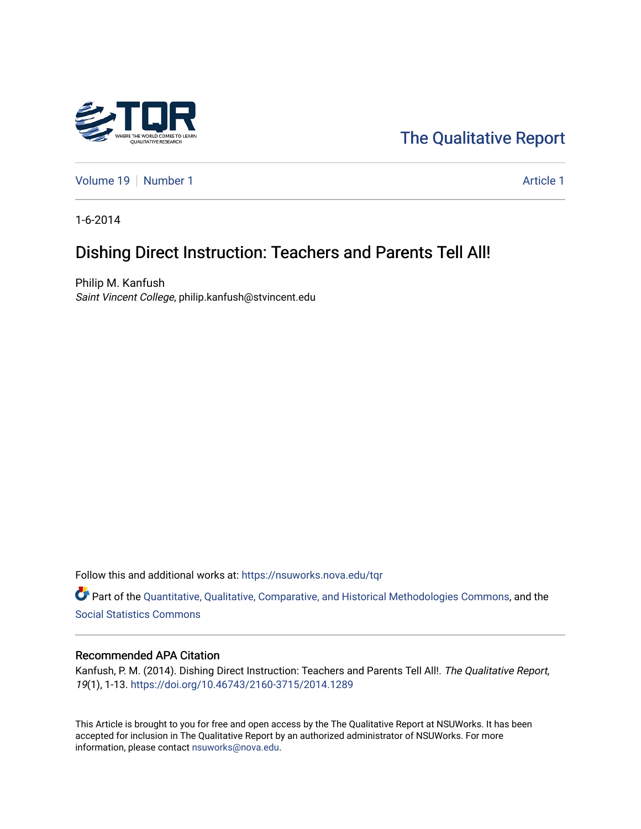

[The Qualitative Report](https://nsuworks.nova.edu/tqr) 

[Volume 19](https://nsuworks.nova.edu/tqr/vol19) [Number 1](https://nsuworks.nova.edu/tqr/vol19/iss1) Article 1

1-6-2014

# Dishing Direct Instruction: Teachers and Parents Tell All!

Philip M. Kanfush Saint Vincent College, philip.kanfush@stvincent.edu

Follow this and additional works at: [https://nsuworks.nova.edu/tqr](https://nsuworks.nova.edu/tqr?utm_source=nsuworks.nova.edu%2Ftqr%2Fvol19%2Fiss1%2F1&utm_medium=PDF&utm_campaign=PDFCoverPages) 

Part of the [Quantitative, Qualitative, Comparative, and Historical Methodologies Commons,](http://network.bepress.com/hgg/discipline/423?utm_source=nsuworks.nova.edu%2Ftqr%2Fvol19%2Fiss1%2F1&utm_medium=PDF&utm_campaign=PDFCoverPages) and the [Social Statistics Commons](http://network.bepress.com/hgg/discipline/1275?utm_source=nsuworks.nova.edu%2Ftqr%2Fvol19%2Fiss1%2F1&utm_medium=PDF&utm_campaign=PDFCoverPages) 

## Recommended APA Citation

Kanfush, P. M. (2014). Dishing Direct Instruction: Teachers and Parents Tell All!. The Qualitative Report, 19(1), 1-13. <https://doi.org/10.46743/2160-3715/2014.1289>

This Article is brought to you for free and open access by the The Qualitative Report at NSUWorks. It has been accepted for inclusion in The Qualitative Report by an authorized administrator of NSUWorks. For more information, please contact [nsuworks@nova.edu.](mailto:nsuworks@nova.edu)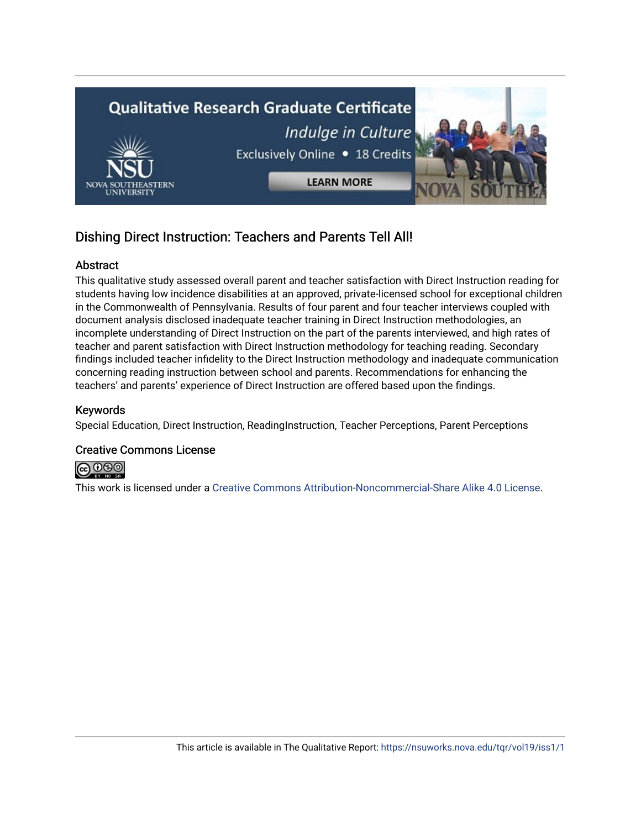

# Dishing Direct Instruction: Teachers and Parents Tell All!

# **Abstract**

This qualitative study assessed overall parent and teacher satisfaction with Direct Instruction reading for students having low incidence disabilities at an approved, private-licensed school for exceptional children in the Commonwealth of Pennsylvania. Results of four parent and four teacher interviews coupled with document analysis disclosed inadequate teacher training in Direct Instruction methodologies, an incomplete understanding of Direct Instruction on the part of the parents interviewed, and high rates of teacher and parent satisfaction with Direct Instruction methodology for teaching reading. Secondary findings included teacher infidelity to the Direct Instruction methodology and inadequate communication concerning reading instruction between school and parents. Recommendations for enhancing the teachers' and parents' experience of Direct Instruction are offered based upon the findings.

# Keywords

Special Education, Direct Instruction, ReadingInstruction, Teacher Perceptions, Parent Perceptions

# Creative Commons License



This work is licensed under a [Creative Commons Attribution-Noncommercial-Share Alike 4.0 License](https://creativecommons.org/licenses/by-nc-sa/4.0/).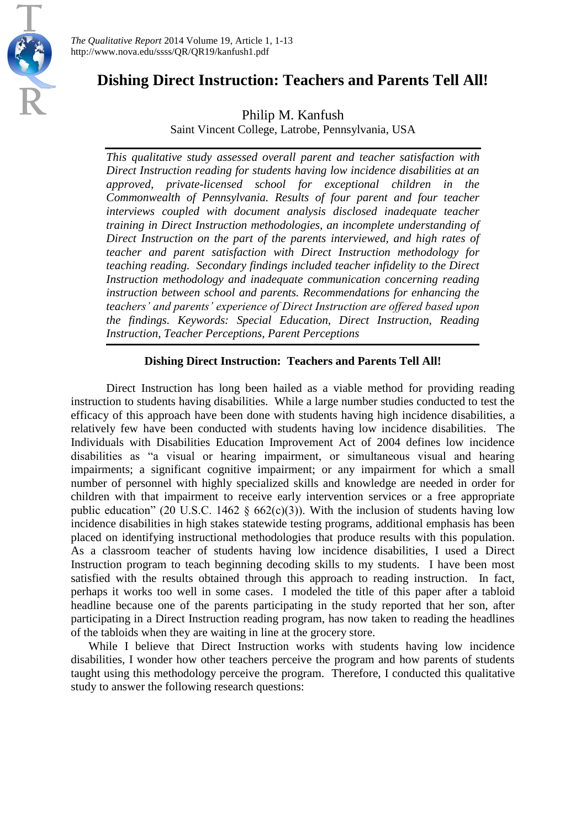

# **Dishing Direct Instruction: Teachers and Parents Tell All!**

Philip M. Kanfush

Saint Vincent College, Latrobe, Pennsylvania, USA

*This qualitative study assessed overall parent and teacher satisfaction with Direct Instruction reading for students having low incidence disabilities at an approved, private-licensed school for exceptional children in the Commonwealth of Pennsylvania. Results of four parent and four teacher interviews coupled with document analysis disclosed inadequate teacher training in Direct Instruction methodologies, an incomplete understanding of Direct Instruction on the part of the parents interviewed, and high rates of teacher and parent satisfaction with Direct Instruction methodology for teaching reading. Secondary findings included teacher infidelity to the Direct Instruction methodology and inadequate communication concerning reading instruction between school and parents. Recommendations for enhancing the teachers' and parents' experience of Direct Instruction are offered based upon the findings. Keywords: Special Education, Direct Instruction, Reading Instruction, Teacher Perceptions, Parent Perceptions*

# **Dishing Direct Instruction: Teachers and Parents Tell All!**

Direct Instruction has long been hailed as a viable method for providing reading instruction to students having disabilities. While a large number studies conducted to test the efficacy of this approach have been done with students having high incidence disabilities, a relatively few have been conducted with students having low incidence disabilities. The Individuals with Disabilities Education Improvement Act of 2004 defines low incidence disabilities as "a visual or hearing impairment, or simultaneous visual and hearing impairments; a significant cognitive impairment; or any impairment for which a small number of personnel with highly specialized skills and knowledge are needed in order for children with that impairment to receive early intervention services or a free appropriate public education" (20 U.S.C. 1462  $\S$  662(c)(3)). With the inclusion of students having low incidence disabilities in high stakes statewide testing programs, additional emphasis has been placed on identifying instructional methodologies that produce results with this population. As a classroom teacher of students having low incidence disabilities, I used a Direct Instruction program to teach beginning decoding skills to my students. I have been most satisfied with the results obtained through this approach to reading instruction. In fact, perhaps it works too well in some cases. I modeled the title of this paper after a tabloid headline because one of the parents participating in the study reported that her son, after participating in a Direct Instruction reading program, has now taken to reading the headlines of the tabloids when they are waiting in line at the grocery store.

While I believe that Direct Instruction works with students having low incidence disabilities, I wonder how other teachers perceive the program and how parents of students taught using this methodology perceive the program. Therefore, I conducted this qualitative study to answer the following research questions: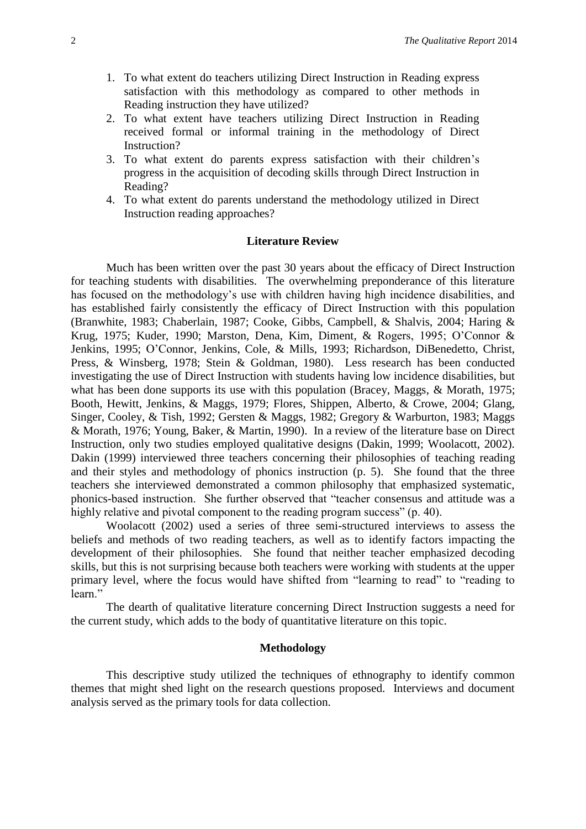- 1. To what extent do teachers utilizing Direct Instruction in Reading express satisfaction with this methodology as compared to other methods in Reading instruction they have utilized?
- 2. To what extent have teachers utilizing Direct Instruction in Reading received formal or informal training in the methodology of Direct Instruction?
- 3. To what extent do parents express satisfaction with their children's progress in the acquisition of decoding skills through Direct Instruction in Reading?
- 4. To what extent do parents understand the methodology utilized in Direct Instruction reading approaches?

## **Literature Review**

Much has been written over the past 30 years about the efficacy of Direct Instruction for teaching students with disabilities. The overwhelming preponderance of this literature has focused on the methodology's use with children having high incidence disabilities, and has established fairly consistently the efficacy of Direct Instruction with this population (Branwhite, 1983; Chaberlain, 1987; Cooke, Gibbs, Campbell, & Shalvis, 2004; Haring & Krug, 1975; Kuder, 1990; Marston, Dena, Kim, Diment, & Rogers, 1995; O'Connor & Jenkins, 1995; O'Connor, Jenkins, Cole, & Mills, 1993; Richardson, DiBenedetto, Christ, Press, & Winsberg, 1978; Stein & Goldman, 1980). Less research has been conducted investigating the use of Direct Instruction with students having low incidence disabilities, but what has been done supports its use with this population (Bracey, Maggs, & Morath, 1975; Booth, Hewitt, Jenkins, & Maggs, 1979; Flores, Shippen, Alberto, & Crowe, 2004; Glang, Singer, Cooley, & Tish, 1992; Gersten & Maggs, 1982; Gregory & Warburton, 1983; Maggs & Morath, 1976; Young, Baker, & Martin, 1990). In a review of the literature base on Direct Instruction, only two studies employed qualitative designs (Dakin, 1999; Woolacott, 2002). Dakin (1999) interviewed three teachers concerning their philosophies of teaching reading and their styles and methodology of phonics instruction (p. 5). She found that the three teachers she interviewed demonstrated a common philosophy that emphasized systematic, phonics-based instruction. She further observed that "teacher consensus and attitude was a highly relative and pivotal component to the reading program success" (p. 40).

Woolacott (2002) used a series of three semi-structured interviews to assess the beliefs and methods of two reading teachers, as well as to identify factors impacting the development of their philosophies. She found that neither teacher emphasized decoding skills, but this is not surprising because both teachers were working with students at the upper primary level, where the focus would have shifted from "learning to read" to "reading to learn."

The dearth of qualitative literature concerning Direct Instruction suggests a need for the current study, which adds to the body of quantitative literature on this topic.

#### **Methodology**

This descriptive study utilized the techniques of ethnography to identify common themes that might shed light on the research questions proposed. Interviews and document analysis served as the primary tools for data collection.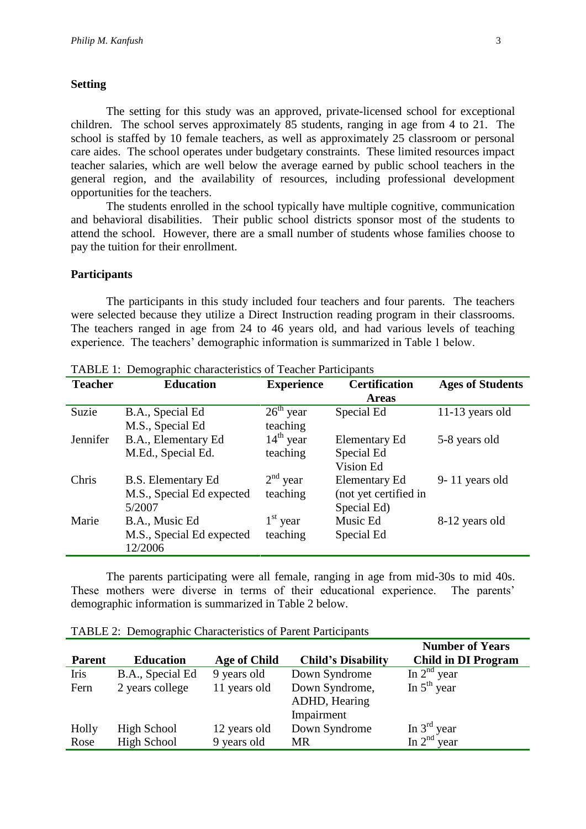## **Setting**

The setting for this study was an approved, private-licensed school for exceptional children. The school serves approximately 85 students, ranging in age from 4 to 21. The school is staffed by 10 female teachers, as well as approximately 25 classroom or personal care aides. The school operates under budgetary constraints. These limited resources impact teacher salaries, which are well below the average earned by public school teachers in the general region, and the availability of resources, including professional development opportunities for the teachers.

The students enrolled in the school typically have multiple cognitive, communication and behavioral disabilities. Their public school districts sponsor most of the students to attend the school. However, there are a small number of students whose families choose to pay the tuition for their enrollment.

## **Participants**

The participants in this study included four teachers and four parents. The teachers were selected because they utilize a Direct Instruction reading program in their classrooms. The teachers ranged in age from 24 to 46 years old, and had various levels of teaching experience. The teachers' demographic information is summarized in Table 1 below.

| <b>Teacher</b> | TABLE 1. Demographic characteristics of reacher Participants<br><b>Education</b> |                       | <b>Certification</b>  |                         |
|----------------|----------------------------------------------------------------------------------|-----------------------|-----------------------|-------------------------|
|                |                                                                                  | <b>Experience</b>     |                       | <b>Ages of Students</b> |
|                |                                                                                  |                       | <b>Areas</b>          |                         |
| Suzie          | B.A., Special Ed                                                                 | $26th$ year           | Special Ed            | 11-13 years old         |
|                | M.S., Special Ed                                                                 | teaching              |                       |                         |
| Jennifer       | B.A., Elementary Ed                                                              | $14^{\text{th}}$ year | <b>Elementary Ed</b>  | 5-8 years old           |
|                | M.Ed., Special Ed.                                                               | teaching              | Special Ed            |                         |
|                |                                                                                  |                       | Vision Ed             |                         |
| Chris          | B.S. Elementary Ed                                                               | $2nd$ year            | <b>Elementary Ed</b>  | 9-11 years old          |
|                | M.S., Special Ed expected                                                        | teaching              | (not yet certified in |                         |
|                | 5/2007                                                                           |                       | Special Ed)           |                         |
| Marie          | B.A., Music Ed                                                                   | $1st$ year            | Music Ed              | 8-12 years old          |
|                | M.S., Special Ed expected                                                        | teaching              | Special Ed            |                         |
|                | 12/2006                                                                          |                       |                       |                         |

TABLE 1: Demographic characteristics of Teacher Participants

The parents participating were all female, ranging in age from mid-30s to mid 40s. These mothers were diverse in terms of their educational experience. The parents' demographic information is summarized in Table 2 below.

TABLE 2: Demographic Characteristics of Parent Participants

|               |                    |                     |                                 | <b>Number of Years</b>     |
|---------------|--------------------|---------------------|---------------------------------|----------------------------|
| <b>Parent</b> | <b>Education</b>   | <b>Age of Child</b> | <b>Child's Disability</b>       | <b>Child in DI Program</b> |
| Iris          | B.A., Special Ed   | 9 years old         | Down Syndrome                   | In $2nd$ year              |
| Fern          | 2 years college    | 11 years old        | Down Syndrome,<br>ADHD, Hearing | In $5th$ year              |
|               |                    |                     | Impairment                      |                            |
| Holly         | High School        | 12 years old        | Down Syndrome                   | In $3rd$ year              |
| Rose          | <b>High School</b> | 9 years old         | MR                              | In $2nd$ year              |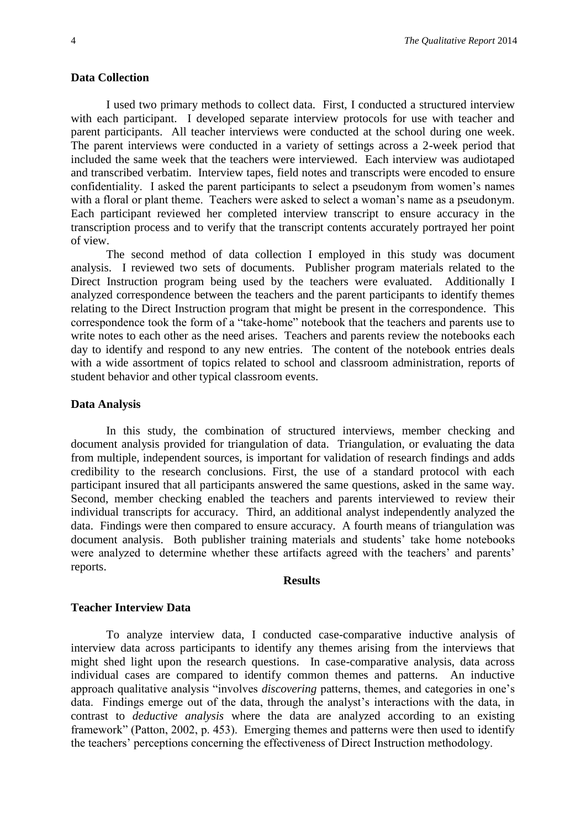### **Data Collection**

I used two primary methods to collect data. First, I conducted a structured interview with each participant. I developed separate interview protocols for use with teacher and parent participants. All teacher interviews were conducted at the school during one week. The parent interviews were conducted in a variety of settings across a 2-week period that included the same week that the teachers were interviewed. Each interview was audiotaped and transcribed verbatim. Interview tapes, field notes and transcripts were encoded to ensure confidentiality. I asked the parent participants to select a pseudonym from women's names with a floral or plant theme. Teachers were asked to select a woman's name as a pseudonym. Each participant reviewed her completed interview transcript to ensure accuracy in the transcription process and to verify that the transcript contents accurately portrayed her point of view.

The second method of data collection I employed in this study was document analysis. I reviewed two sets of documents. Publisher program materials related to the Direct Instruction program being used by the teachers were evaluated. Additionally I analyzed correspondence between the teachers and the parent participants to identify themes relating to the Direct Instruction program that might be present in the correspondence. This correspondence took the form of a "take-home" notebook that the teachers and parents use to write notes to each other as the need arises. Teachers and parents review the notebooks each day to identify and respond to any new entries. The content of the notebook entries deals with a wide assortment of topics related to school and classroom administration, reports of student behavior and other typical classroom events.

## **Data Analysis**

In this study, the combination of structured interviews, member checking and document analysis provided for triangulation of data. Triangulation, or evaluating the data from multiple, independent sources, is important for validation of research findings and adds credibility to the research conclusions. First, the use of a standard protocol with each participant insured that all participants answered the same questions, asked in the same way. Second, member checking enabled the teachers and parents interviewed to review their individual transcripts for accuracy. Third, an additional analyst independently analyzed the data. Findings were then compared to ensure accuracy. A fourth means of triangulation was document analysis. Both publisher training materials and students' take home notebooks were analyzed to determine whether these artifacts agreed with the teachers' and parents' reports.

## **Results**

#### **Teacher Interview Data**

To analyze interview data, I conducted case-comparative inductive analysis of interview data across participants to identify any themes arising from the interviews that might shed light upon the research questions. In case-comparative analysis, data across individual cases are compared to identify common themes and patterns. An inductive approach qualitative analysis "involves *discovering* patterns, themes, and categories in one's data. Findings emerge out of the data, through the analyst's interactions with the data, in contrast to *deductive analysis* where the data are analyzed according to an existing framework" (Patton, 2002, p. 453). Emerging themes and patterns were then used to identify the teachers' perceptions concerning the effectiveness of Direct Instruction methodology.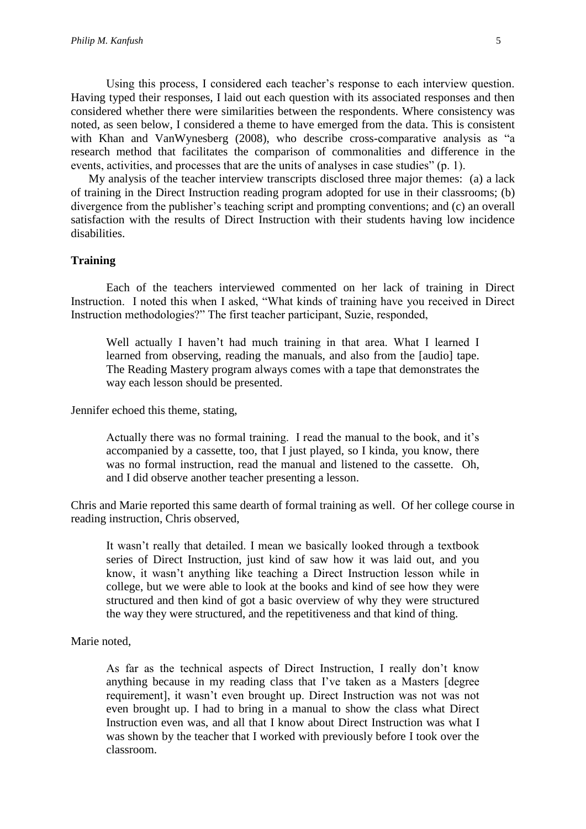Using this process, I considered each teacher's response to each interview question. Having typed their responses, I laid out each question with its associated responses and then considered whether there were similarities between the respondents. Where consistency was noted, as seen below, I considered a theme to have emerged from the data. This is consistent with Khan and VanWynesberg (2008), who describe cross-comparative analysis as "a research method that facilitates the comparison of commonalities and difference in the events, activities, and processes that are the units of analyses in case studies" (p. 1).

My analysis of the teacher interview transcripts disclosed three major themes: (a) a lack of training in the Direct Instruction reading program adopted for use in their classrooms; (b) divergence from the publisher's teaching script and prompting conventions; and (c) an overall satisfaction with the results of Direct Instruction with their students having low incidence disabilities.

## **Training**

Each of the teachers interviewed commented on her lack of training in Direct Instruction. I noted this when I asked, "What kinds of training have you received in Direct Instruction methodologies?" The first teacher participant, Suzie, responded,

Well actually I haven't had much training in that area. What I learned I learned from observing, reading the manuals, and also from the [audio] tape. The Reading Mastery program always comes with a tape that demonstrates the way each lesson should be presented.

Jennifer echoed this theme, stating,

Actually there was no formal training. I read the manual to the book, and it's accompanied by a cassette, too, that I just played, so I kinda, you know, there was no formal instruction, read the manual and listened to the cassette. Oh, and I did observe another teacher presenting a lesson.

Chris and Marie reported this same dearth of formal training as well. Of her college course in reading instruction, Chris observed,

It wasn't really that detailed. I mean we basically looked through a textbook series of Direct Instruction, just kind of saw how it was laid out, and you know, it wasn't anything like teaching a Direct Instruction lesson while in college, but we were able to look at the books and kind of see how they were structured and then kind of got a basic overview of why they were structured the way they were structured, and the repetitiveness and that kind of thing.

## Marie noted,

As far as the technical aspects of Direct Instruction, I really don't know anything because in my reading class that I've taken as a Masters [degree requirement], it wasn't even brought up. Direct Instruction was not was not even brought up. I had to bring in a manual to show the class what Direct Instruction even was, and all that I know about Direct Instruction was what I was shown by the teacher that I worked with previously before I took over the classroom.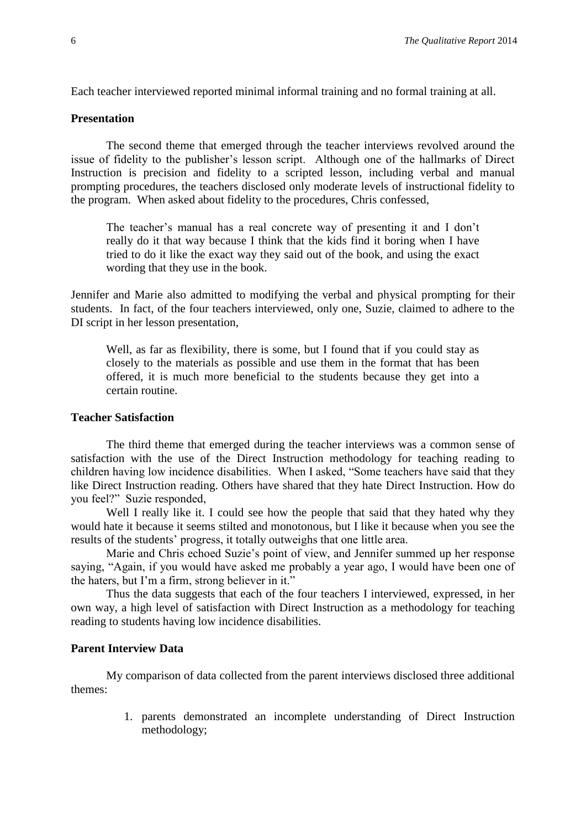Each teacher interviewed reported minimal informal training and no formal training at all.

## **Presentation**

The second theme that emerged through the teacher interviews revolved around the issue of fidelity to the publisher's lesson script. Although one of the hallmarks of Direct Instruction is precision and fidelity to a scripted lesson, including verbal and manual prompting procedures, the teachers disclosed only moderate levels of instructional fidelity to the program. When asked about fidelity to the procedures, Chris confessed,

The teacher's manual has a real concrete way of presenting it and I don't really do it that way because I think that the kids find it boring when I have tried to do it like the exact way they said out of the book, and using the exact wording that they use in the book.

Jennifer and Marie also admitted to modifying the verbal and physical prompting for their students. In fact, of the four teachers interviewed, only one, Suzie, claimed to adhere to the DI script in her lesson presentation,

Well, as far as flexibility, there is some, but I found that if you could stay as closely to the materials as possible and use them in the format that has been offered, it is much more beneficial to the students because they get into a certain routine.

## **Teacher Satisfaction**

The third theme that emerged during the teacher interviews was a common sense of satisfaction with the use of the Direct Instruction methodology for teaching reading to children having low incidence disabilities. When I asked, "Some teachers have said that they like Direct Instruction reading. Others have shared that they hate Direct Instruction. How do you feel?" Suzie responded,

Well I really like it. I could see how the people that said that they hated why they would hate it because it seems stilted and monotonous, but I like it because when you see the results of the students' progress, it totally outweighs that one little area.

Marie and Chris echoed Suzie's point of view, and Jennifer summed up her response saying, "Again, if you would have asked me probably a year ago, I would have been one of the haters, but I'm a firm, strong believer in it."

Thus the data suggests that each of the four teachers I interviewed, expressed, in her own way, a high level of satisfaction with Direct Instruction as a methodology for teaching reading to students having low incidence disabilities.

## **Parent Interview Data**

My comparison of data collected from the parent interviews disclosed three additional themes:

> 1. parents demonstrated an incomplete understanding of Direct Instruction methodology;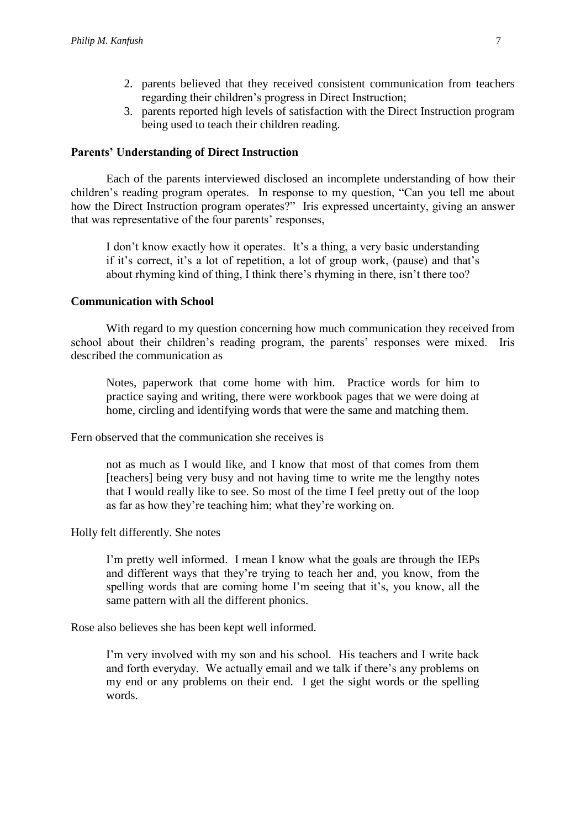- 2. parents believed that they received consistent communication from teachers regarding their children's progress in Direct Instruction;
- 3. parents reported high levels of satisfaction with the Direct Instruction program being used to teach their children reading.

#### **Parents' Understanding of Direct Instruction**

Each of the parents interviewed disclosed an incomplete understanding of how their children's reading program operates. In response to my question, "Can you tell me about how the Direct Instruction program operates?" Iris expressed uncertainty, giving an answer that was representative of the four parents' responses,

I don't know exactly how it operates. It's a thing, a very basic understanding if it's correct, it's a lot of repetition, a lot of group work, (pause) and that's about rhyming kind of thing, I think there's rhyming in there, isn't there too?

### **Communication with School**

With regard to my question concerning how much communication they received from school about their children's reading program, the parents' responses were mixed. Iris described the communication as

Notes, paperwork that come home with him. Practice words for him to practice saying and writing, there were workbook pages that we were doing at home, circling and identifying words that were the same and matching them.

Fern observed that the communication she receives is

not as much as I would like, and I know that most of that comes from them [teachers] being very busy and not having time to write me the lengthy notes that I would really like to see. So most of the time I feel pretty out of the loop as far as how they're teaching him; what they're working on.

Holly felt differently. She notes

I'm pretty well informed. I mean I know what the goals are through the IEPs and different ways that they're trying to teach her and, you know, from the spelling words that are coming home I'm seeing that it's, you know, all the same pattern with all the different phonics.

Rose also believes she has been kept well informed.

I'm very involved with my son and his school. His teachers and I write back and forth everyday. We actually email and we talk if there's any problems on my end or any problems on their end. I get the sight words or the spelling words.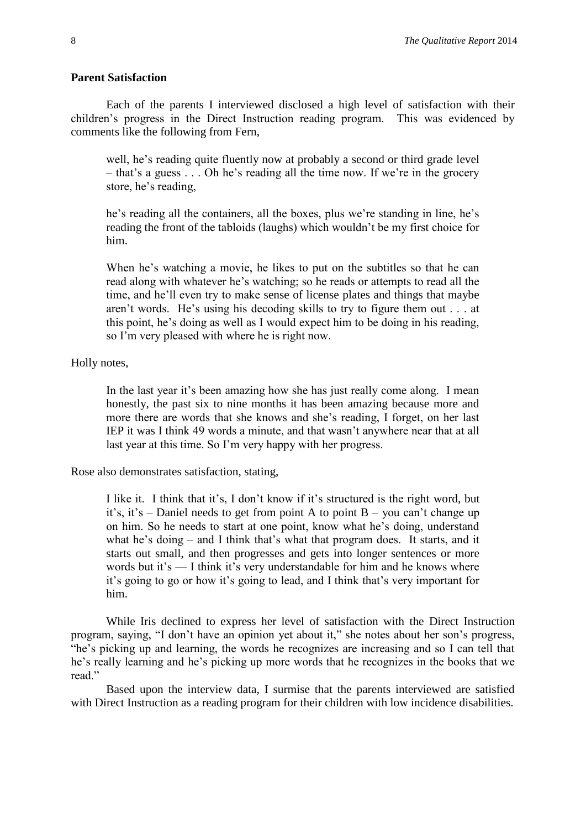#### **Parent Satisfaction**

Each of the parents I interviewed disclosed a high level of satisfaction with their children's progress in the Direct Instruction reading program. This was evidenced by comments like the following from Fern,

well, he's reading quite fluently now at probably a second or third grade level – that's a guess . . . Oh he's reading all the time now. If we're in the grocery store, he's reading,

he's reading all the containers, all the boxes, plus we're standing in line, he's reading the front of the tabloids (laughs) which wouldn't be my first choice for him.

When he's watching a movie, he likes to put on the subtitles so that he can read along with whatever he's watching; so he reads or attempts to read all the time, and he'll even try to make sense of license plates and things that maybe aren't words. He's using his decoding skills to try to figure them out . . . at this point, he's doing as well as I would expect him to be doing in his reading, so I'm very pleased with where he is right now.

## Holly notes,

In the last year it's been amazing how she has just really come along. I mean honestly, the past six to nine months it has been amazing because more and more there are words that she knows and she's reading, I forget, on her last IEP it was I think 49 words a minute, and that wasn't anywhere near that at all last year at this time. So I'm very happy with her progress.

Rose also demonstrates satisfaction, stating,

I like it. I think that it's, I don't know if it's structured is the right word, but it's, it's – Daniel needs to get from point A to point B – you can't change up on him. So he needs to start at one point, know what he's doing, understand what he's doing – and I think that's what that program does. It starts, and it starts out small, and then progresses and gets into longer sentences or more words but it's — I think it's very understandable for him and he knows where it's going to go or how it's going to lead, and I think that's very important for him.

While Iris declined to express her level of satisfaction with the Direct Instruction program, saying, "I don't have an opinion yet about it," she notes about her son's progress, "he's picking up and learning, the words he recognizes are increasing and so I can tell that he's really learning and he's picking up more words that he recognizes in the books that we read."

Based upon the interview data, I surmise that the parents interviewed are satisfied with Direct Instruction as a reading program for their children with low incidence disabilities.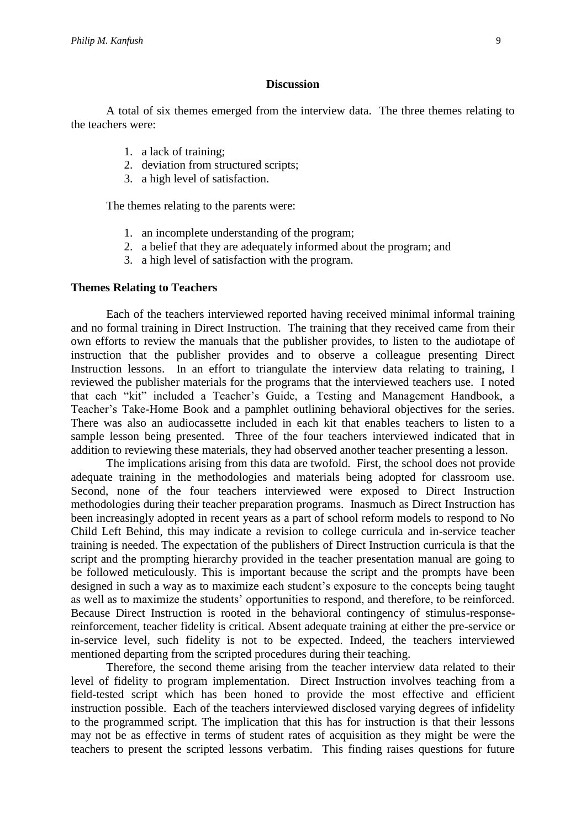### **Discussion**

A total of six themes emerged from the interview data. The three themes relating to the teachers were:

- 1. a lack of training;
- 2. deviation from structured scripts;
- 3. a high level of satisfaction.

The themes relating to the parents were:

- 1. an incomplete understanding of the program;
- 2. a belief that they are adequately informed about the program; and
- 3. a high level of satisfaction with the program.

## **Themes Relating to Teachers**

Each of the teachers interviewed reported having received minimal informal training and no formal training in Direct Instruction. The training that they received came from their own efforts to review the manuals that the publisher provides, to listen to the audiotape of instruction that the publisher provides and to observe a colleague presenting Direct Instruction lessons. In an effort to triangulate the interview data relating to training, I reviewed the publisher materials for the programs that the interviewed teachers use. I noted that each "kit" included a Teacher's Guide, a Testing and Management Handbook, a Teacher's Take-Home Book and a pamphlet outlining behavioral objectives for the series. There was also an audiocassette included in each kit that enables teachers to listen to a sample lesson being presented. Three of the four teachers interviewed indicated that in addition to reviewing these materials, they had observed another teacher presenting a lesson.

The implications arising from this data are twofold. First, the school does not provide adequate training in the methodologies and materials being adopted for classroom use. Second, none of the four teachers interviewed were exposed to Direct Instruction methodologies during their teacher preparation programs. Inasmuch as Direct Instruction has been increasingly adopted in recent years as a part of school reform models to respond to No Child Left Behind, this may indicate a revision to college curricula and in-service teacher training is needed. The expectation of the publishers of Direct Instruction curricula is that the script and the prompting hierarchy provided in the teacher presentation manual are going to be followed meticulously. This is important because the script and the prompts have been designed in such a way as to maximize each student's exposure to the concepts being taught as well as to maximize the students' opportunities to respond, and therefore, to be reinforced. Because Direct Instruction is rooted in the behavioral contingency of stimulus-responsereinforcement, teacher fidelity is critical. Absent adequate training at either the pre-service or in-service level, such fidelity is not to be expected. Indeed, the teachers interviewed mentioned departing from the scripted procedures during their teaching.

Therefore, the second theme arising from the teacher interview data related to their level of fidelity to program implementation. Direct Instruction involves teaching from a field-tested script which has been honed to provide the most effective and efficient instruction possible. Each of the teachers interviewed disclosed varying degrees of infidelity to the programmed script. The implication that this has for instruction is that their lessons may not be as effective in terms of student rates of acquisition as they might be were the teachers to present the scripted lessons verbatim. This finding raises questions for future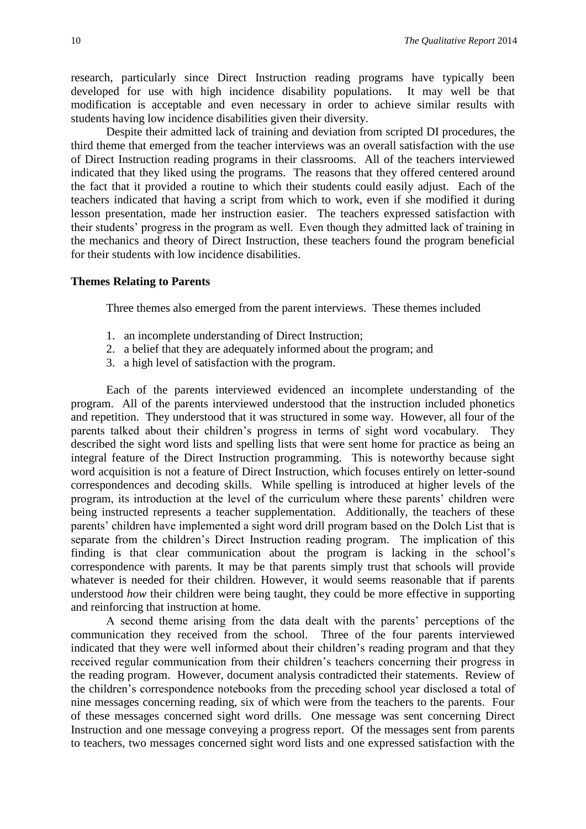research, particularly since Direct Instruction reading programs have typically been developed for use with high incidence disability populations. It may well be that modification is acceptable and even necessary in order to achieve similar results with students having low incidence disabilities given their diversity.

Despite their admitted lack of training and deviation from scripted DI procedures, the third theme that emerged from the teacher interviews was an overall satisfaction with the use of Direct Instruction reading programs in their classrooms. All of the teachers interviewed indicated that they liked using the programs. The reasons that they offered centered around the fact that it provided a routine to which their students could easily adjust. Each of the teachers indicated that having a script from which to work, even if she modified it during lesson presentation, made her instruction easier. The teachers expressed satisfaction with their students' progress in the program as well. Even though they admitted lack of training in the mechanics and theory of Direct Instruction, these teachers found the program beneficial for their students with low incidence disabilities.

#### **Themes Relating to Parents**

Three themes also emerged from the parent interviews. These themes included

- 1. an incomplete understanding of Direct Instruction;
- 2. a belief that they are adequately informed about the program; and
- 3. a high level of satisfaction with the program.

Each of the parents interviewed evidenced an incomplete understanding of the program. All of the parents interviewed understood that the instruction included phonetics and repetition. They understood that it was structured in some way. However, all four of the parents talked about their children's progress in terms of sight word vocabulary. They described the sight word lists and spelling lists that were sent home for practice as being an integral feature of the Direct Instruction programming. This is noteworthy because sight word acquisition is not a feature of Direct Instruction, which focuses entirely on letter-sound correspondences and decoding skills. While spelling is introduced at higher levels of the program, its introduction at the level of the curriculum where these parents' children were being instructed represents a teacher supplementation. Additionally, the teachers of these parents' children have implemented a sight word drill program based on the Dolch List that is separate from the children's Direct Instruction reading program. The implication of this finding is that clear communication about the program is lacking in the school's correspondence with parents. It may be that parents simply trust that schools will provide whatever is needed for their children. However, it would seems reasonable that if parents understood *how* their children were being taught, they could be more effective in supporting and reinforcing that instruction at home.

A second theme arising from the data dealt with the parents' perceptions of the communication they received from the school. Three of the four parents interviewed indicated that they were well informed about their children's reading program and that they received regular communication from their children's teachers concerning their progress in the reading program. However, document analysis contradicted their statements. Review of the children's correspondence notebooks from the preceding school year disclosed a total of nine messages concerning reading, six of which were from the teachers to the parents. Four of these messages concerned sight word drills. One message was sent concerning Direct Instruction and one message conveying a progress report. Of the messages sent from parents to teachers, two messages concerned sight word lists and one expressed satisfaction with the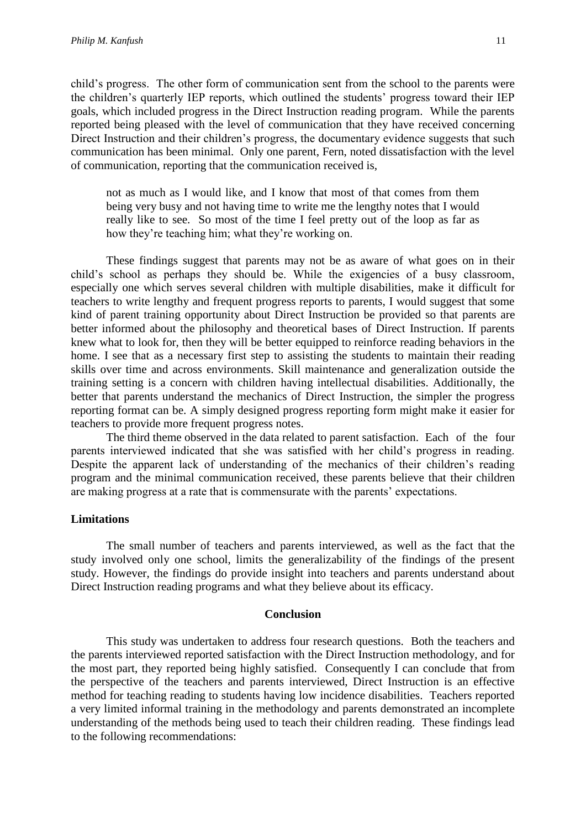child's progress. The other form of communication sent from the school to the parents were the children's quarterly IEP reports, which outlined the students' progress toward their IEP goals, which included progress in the Direct Instruction reading program. While the parents reported being pleased with the level of communication that they have received concerning Direct Instruction and their children's progress, the documentary evidence suggests that such communication has been minimal. Only one parent, Fern, noted dissatisfaction with the level of communication, reporting that the communication received is,

not as much as I would like, and I know that most of that comes from them being very busy and not having time to write me the lengthy notes that I would really like to see. So most of the time I feel pretty out of the loop as far as how they're teaching him; what they're working on.

These findings suggest that parents may not be as aware of what goes on in their child's school as perhaps they should be. While the exigencies of a busy classroom, especially one which serves several children with multiple disabilities, make it difficult for teachers to write lengthy and frequent progress reports to parents, I would suggest that some kind of parent training opportunity about Direct Instruction be provided so that parents are better informed about the philosophy and theoretical bases of Direct Instruction. If parents knew what to look for, then they will be better equipped to reinforce reading behaviors in the home. I see that as a necessary first step to assisting the students to maintain their reading skills over time and across environments. Skill maintenance and generalization outside the training setting is a concern with children having intellectual disabilities. Additionally, the better that parents understand the mechanics of Direct Instruction, the simpler the progress reporting format can be. A simply designed progress reporting form might make it easier for teachers to provide more frequent progress notes.

The third theme observed in the data related to parent satisfaction. Each of the four parents interviewed indicated that she was satisfied with her child's progress in reading. Despite the apparent lack of understanding of the mechanics of their children's reading program and the minimal communication received, these parents believe that their children are making progress at a rate that is commensurate with the parents' expectations.

#### **Limitations**

The small number of teachers and parents interviewed, as well as the fact that the study involved only one school, limits the generalizability of the findings of the present study. However, the findings do provide insight into teachers and parents understand about Direct Instruction reading programs and what they believe about its efficacy.

### **Conclusion**

This study was undertaken to address four research questions. Both the teachers and the parents interviewed reported satisfaction with the Direct Instruction methodology, and for the most part, they reported being highly satisfied. Consequently I can conclude that from the perspective of the teachers and parents interviewed, Direct Instruction is an effective method for teaching reading to students having low incidence disabilities. Teachers reported a very limited informal training in the methodology and parents demonstrated an incomplete understanding of the methods being used to teach their children reading. These findings lead to the following recommendations: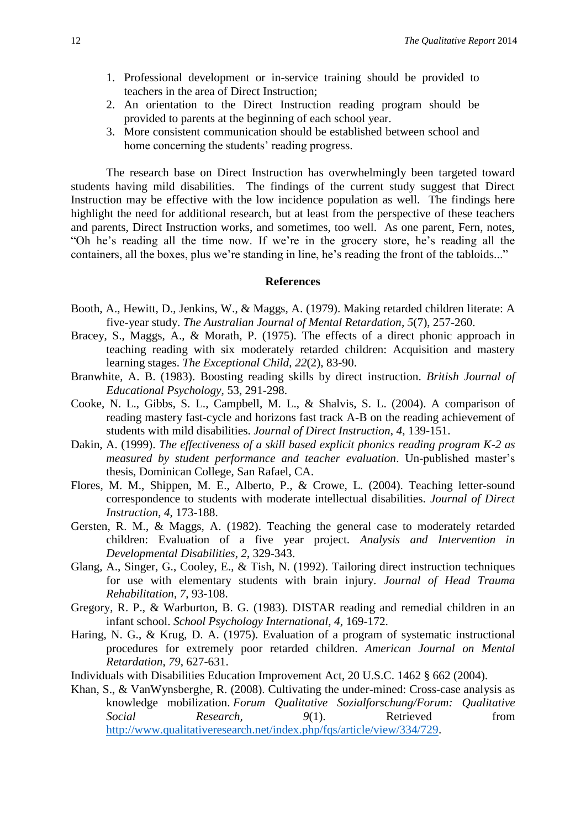- 1. Professional development or in-service training should be provided to teachers in the area of Direct Instruction;
- 2. An orientation to the Direct Instruction reading program should be provided to parents at the beginning of each school year.
- 3. More consistent communication should be established between school and home concerning the students' reading progress.

The research base on Direct Instruction has overwhelmingly been targeted toward students having mild disabilities. The findings of the current study suggest that Direct Instruction may be effective with the low incidence population as well. The findings here highlight the need for additional research, but at least from the perspective of these teachers and parents, Direct Instruction works, and sometimes, too well. As one parent, Fern, notes, "Oh he's reading all the time now. If we're in the grocery store, he's reading all the containers, all the boxes, plus we're standing in line, he's reading the front of the tabloids..."

### **References**

- Booth, A., Hewitt, D., Jenkins, W., & Maggs, A. (1979). Making retarded children literate: A five-year study. *The Australian Journal of Mental Retardation, 5*(7), 257-260.
- Bracey, S., Maggs, A., & Morath, P. (1975). The effects of a direct phonic approach in teaching reading with six moderately retarded children: Acquisition and mastery learning stages. *The Exceptional Child*, *22*(2), 83-90.
- Branwhite, A. B. (1983). Boosting reading skills by direct instruction. *British Journal of Educational Psychology*, 53, 291-298.
- Cooke, N. L., Gibbs, S. L., Campbell, M. L., & Shalvis, S. L. (2004). A comparison of reading mastery fast-cycle and horizons fast track A-B on the reading achievement of students with mild disabilities. *Journal of Direct Instruction*, *4*, 139-151.
- Dakin, A. (1999). *The effectiveness of a skill based explicit phonics reading program K-2 as measured by student performance and teacher evaluation*. Un-published master's thesis, Dominican College, San Rafael, CA.
- Flores, M. M., Shippen, M. E., Alberto, P., & Crowe, L. (2004). Teaching letter-sound correspondence to students with moderate intellectual disabilities. *Journal of Direct Instruction*, *4*, 173-188.
- Gersten, R. M., & Maggs, A. (1982). Teaching the general case to moderately retarded children: Evaluation of a five year project. *Analysis and Intervention in Developmental Disabilities*, *2*, 329-343.
- Glang, A., Singer, G., Cooley, E., & Tish, N. (1992). Tailoring direct instruction techniques for use with elementary students with brain injury. *Journal of Head Trauma Rehabilitation*, *7*, 93-108.
- Gregory, R. P., & Warburton, B. G. (1983). DISTAR reading and remedial children in an infant school. *School Psychology International*, *4*, 169-172.
- Haring, N. G., & Krug, D. A. (1975). Evaluation of a program of systematic instructional procedures for extremely poor retarded children. *American Journal on Mental Retardation*, *79*, 627-631.
- Individuals with Disabilities Education Improvement Act, 20 U.S.C. 1462 § 662 (2004).
- Khan, S., & VanWynsberghe, R. (2008). Cultivating the under-mined: Cross-case analysis as knowledge mobilization. *Forum Qualitative Sozialforschung/Forum: Qualitative Social Research,* 9(1). Retrieved from [http://www.qualitativeresearch.net/index.php/fqs/article/view/334/729.](http://www.qualitative-research.net/index.php/fqs/article/view/334/729)